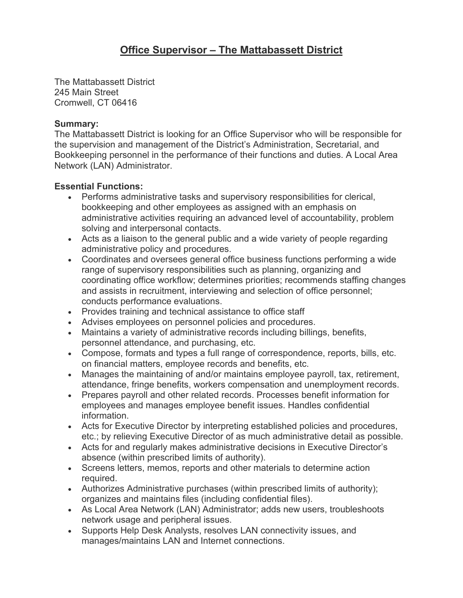The Mattabassett District 245 Main Street Cromwell, CT 06416

## **Summary:**

The Mattabassett District is looking for an Office Supervisor who will be responsible for the supervision and management of the District's Administration, Secretarial, and Bookkeeping personnel in the performance of their functions and duties. A Local Area Network (LAN) Administrator.

## **Essential Functions:**

- Performs administrative tasks and supervisory responsibilities for clerical, bookkeeping and other employees as assigned with an emphasis on administrative activities requiring an advanced level of accountability, problem solving and interpersonal contacts.
- Acts as a liaison to the general public and a wide variety of people regarding administrative policy and procedures.
- Coordinates and oversees general office business functions performing a wide range of supervisory responsibilities such as planning, organizing and coordinating office workflow; determines priorities; recommends staffing changes and assists in recruitment, interviewing and selection of office personnel; conducts performance evaluations.
- Provides training and technical assistance to office staff
- Advises employees on personnel policies and procedures.
- Maintains a variety of administrative records including billings, benefits, personnel attendance, and purchasing, etc.
- Compose, formats and types a full range of correspondence, reports, bills, etc. on financial matters, employee records and benefits, etc.
- Manages the maintaining of and/or maintains employee payroll, tax, retirement, attendance, fringe benefits, workers compensation and unemployment records.
- Prepares payroll and other related records. Processes benefit information for employees and manages employee benefit issues. Handles confidential information.
- Acts for Executive Director by interpreting established policies and procedures, etc.; by relieving Executive Director of as much administrative detail as possible.
- Acts for and regularly makes administrative decisions in Executive Director's absence (within prescribed limits of authority).
- Screens letters, memos, reports and other materials to determine action required.
- Authorizes Administrative purchases (within prescribed limits of authority); organizes and maintains files (including confidential files).
- As Local Area Network (LAN) Administrator; adds new users, troubleshoots network usage and peripheral issues.
- Supports Help Desk Analysts, resolves LAN connectivity issues, and manages/maintains LAN and Internet connections.